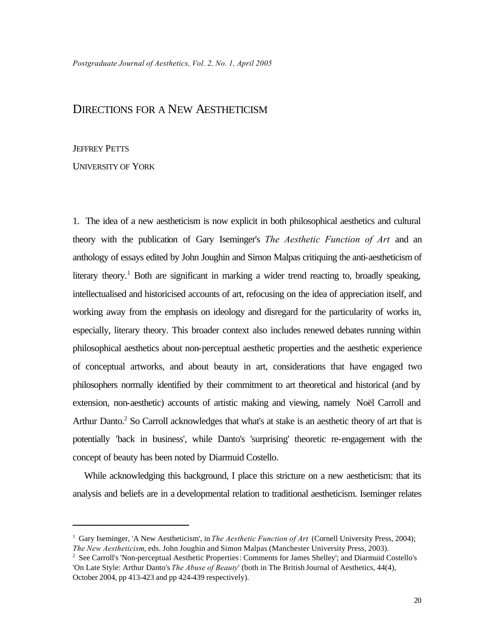## DIRECTIONS FOR A NEW AESTHETICISM

## JEFFREY PETTS

UNIVERSITY OF YORK

1. The idea of a new aestheticism is now explicit in both philosophical aesthetics and cultural theory with the publication of Gary Iseminger's *The Aesthetic Function of Art* and an anthology of essays edited by John Joughin and Simon Malpas critiquing the anti-aestheticism of literary theory.<sup>1</sup> Both are significant in marking a wider trend reacting to, broadly speaking, intellectualised and historicised accounts of art, refocusing on the idea of appreciation itself, and working away from the emphasis on ideology and disregard for the particularity of works in, especially, literary theory. This broader context also includes renewed debates running within philosophical aesthetics about non-perceptual aesthetic properties and the aesthetic experience of conceptual artworks, and about beauty in art, considerations that have engaged two philosophers normally identified by their commitment to art theoretical and historical (and by extension, non-aesthetic) accounts of artistic making and viewing, namely Noël Carroll and Arthur Danto.<sup>2</sup> So Carroll acknowledges that what's at stake is an aesthetic theory of art that is potentially 'back in business', while Danto's 'surprising' theoretic re-engagement with the concept of beauty has been noted by Diarmuid Costello.

While acknowledging this background, I place this stricture on a new aestheticism: that its analysis and beliefs are in a developmental relation to traditional aestheticism. Iseminger relates

<sup>1</sup> Gary Iseminger, 'A New Aestheticism', in *The Aesthetic Function of Art* (Cornell University Press, 2004); *The New Aestheticism*, eds. John Joughin and Simon Malpas (Manchester University Press, 2003).

<sup>&</sup>lt;sup>2</sup> See Carroll's 'Non-perceptual Aesthetic Properties: Comments for James Shelley'; and Diarmuid Costello's 'On Late Style: Arthur Danto's *The Abuse of Beauty*' (both in The British Journal of Aesthetics, 44(4), October 2004, pp 413-423 and pp 424-439 respectively).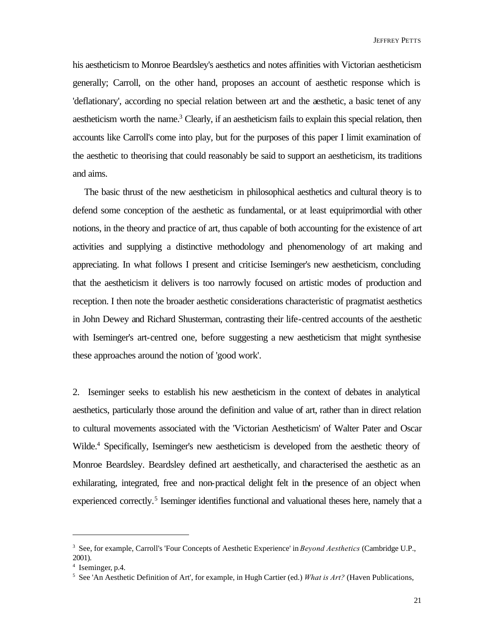his aestheticism to Monroe Beardsley's aesthetics and notes affinities with Victorian aestheticism generally; Carroll, on the other hand, proposes an account of aesthetic response which is 'deflationary', according no special relation between art and the aesthetic, a basic tenet of any aestheticism worth the name.<sup>3</sup> Clearly, if an aestheticism fails to explain this special relation, then accounts like Carroll's come into play, but for the purposes of this paper I limit examination of the aesthetic to theorising that could reasonably be said to support an aestheticism, its traditions and aims.

The basic thrust of the new aestheticism in philosophical aesthetics and cultural theory is to defend some conception of the aesthetic as fundamental, or at least equiprimordial with other notions, in the theory and practice of art, thus capable of both accounting for the existence of art activities and supplying a distinctive methodology and phenomenology of art making and appreciating. In what follows I present and criticise Iseminger's new aestheticism, concluding that the aestheticism it delivers is too narrowly focused on artistic modes of production and reception. I then note the broader aesthetic considerations characteristic of pragmatist aesthetics in John Dewey and Richard Shusterman, contrasting their life-centred accounts of the aesthetic with Iseminger's art-centred one, before suggesting a new aestheticism that might synthesise these approaches around the notion of 'good work'.

2. Iseminger seeks to establish his new aestheticism in the context of debates in analytical aesthetics, particularly those around the definition and value of art, rather than in direct relation to cultural movements associated with the 'Victorian Aestheticism' of Walter Pater and Oscar Wilde.<sup>4</sup> Specifically, Iseminger's new aestheticism is developed from the aesthetic theory of Monroe Beardsley. Beardsley defined art aesthetically, and characterised the aesthetic as an exhilarating, integrated, free and non-practical delight felt in the presence of an object when experienced correctly.<sup>5</sup> Iseminger identifies functional and valuational theses here, namely that a

<sup>3</sup> See, for example, Carroll's 'Four Concepts of Aesthetic Experience' in *Beyond Aesthetics* (Cambridge U.P., 2001).

<sup>4</sup> Iseminger, p.4.

<sup>5</sup> See 'An Aesthetic Definition of Art', for example, in Hugh Cartier (ed.) *What is Art?* (Haven Publications,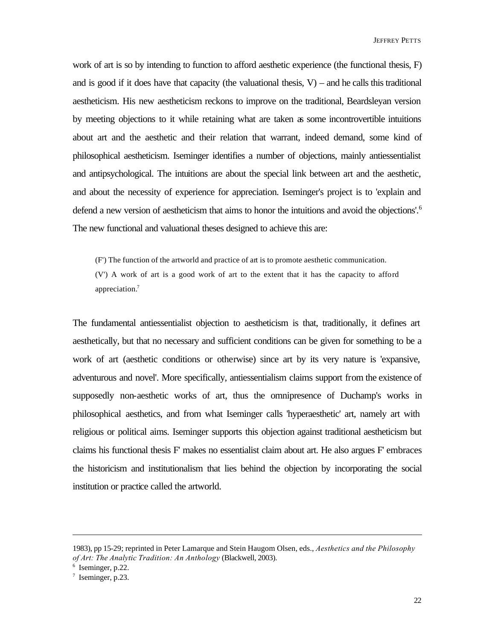work of art is so by intending to function to afford aesthetic experience (the functional thesis, F) and is good if it does have that capacity (the valuational thesis,  $V$ ) – and he calls this traditional aestheticism. His new aestheticism reckons to improve on the traditional, Beardsleyan version by meeting objections to it while retaining what are taken as some incontrovertible intuitions about art and the aesthetic and their relation that warrant, indeed demand, some kind of philosophical aestheticism. Iseminger identifies a number of objections, mainly antiessentialist and antipsychological. The intuitions are about the special link between art and the aesthetic, and about the necessity of experience for appreciation. Iseminger's project is to 'explain and defend a new version of aestheticism that aims to honor the intuitions and avoid the objections'.<sup>6</sup> The new functional and valuational theses designed to achieve this are:

(F') The function of the artworld and practice of art is to promote aesthetic communication.

(V') A work of art is a good work of art to the extent that it has the capacity to afford appreciation.<sup>7</sup>

The fundamental antiessentialist objection to aestheticism is that, traditionally, it defines art aesthetically, but that no necessary and sufficient conditions can be given for something to be a work of art (aesthetic conditions or otherwise) since art by its very nature is 'expansive, adventurous and novel'. More specifically, antiessentialism claims support from the existence of supposedly non-aesthetic works of art, thus the omnipresence of Duchamp's works in philosophical aesthetics, and from what Iseminger calls 'hyperaesthetic' art, namely art with religious or political aims. Iseminger supports this objection against traditional aestheticism but claims his functional thesis F' makes no essentialist claim about art. He also argues F' embraces the historicism and institutionalism that lies behind the objection by incorporating the social institution or practice called the artworld.

<sup>1983),</sup> pp 15-29; reprinted in Peter Lamarque and Stein Haugom Olsen, eds., *Aesthetics and the Philosophy of Art: The Analytic Tradition: An Anthology* (Blackwell, 2003).

<sup>6</sup> Iseminger, p.22.

<sup>&</sup>lt;sup>7</sup> Iseminger, p.23.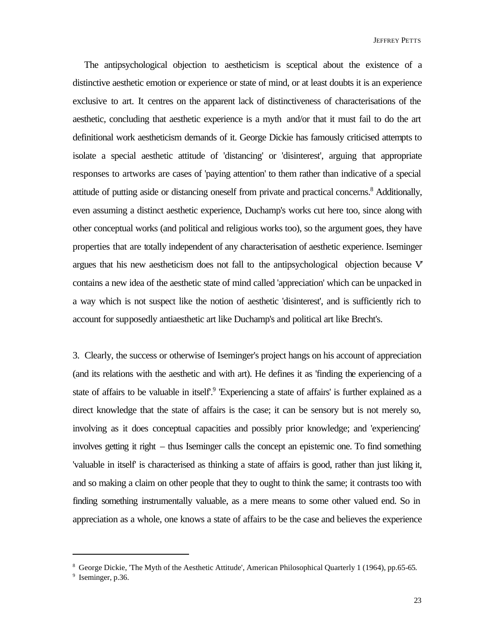The antipsychological objection to aestheticism is sceptical about the existence of a distinctive aesthetic emotion or experience or state of mind, or at least doubts it is an experience exclusive to art. It centres on the apparent lack of distinctiveness of characterisations of the aesthetic, concluding that aesthetic experience is a myth and/or that it must fail to do the art definitional work aestheticism demands of it. George Dickie has famously criticised attempts to isolate a special aesthetic attitude of 'distancing' or 'disinterest', arguing that appropriate responses to artworks are cases of 'paying attention' to them rather than indicative of a special attitude of putting aside or distancing oneself from private and practical concerns.<sup>8</sup> Additionally, even assuming a distinct aesthetic experience, Duchamp's works cut here too, since along with other conceptual works (and political and religious works too), so the argument goes, they have properties that are totally independent of any characterisation of aesthetic experience. Iseminger argues that his new aestheticism does not fall to the antipsychological objection because V*'* contains a new idea of the aesthetic state of mind called 'appreciation' which can be unpacked in a way which is not suspect like the notion of aesthetic 'disinterest', and is sufficiently rich to account for supposedly antiaesthetic art like Duchamp's and political art like Brecht's.

3. Clearly, the success or otherwise of Iseminger's project hangs on his account of appreciation (and its relations with the aesthetic and with art). He defines it as 'finding the experiencing of a state of affairs to be valuable in itself.<sup>9</sup> 'Experiencing a state of affairs' is further explained as a direct knowledge that the state of affairs is the case; it can be sensory but is not merely so, involving as it does conceptual capacities and possibly prior knowledge; and 'experiencing' involves getting it right – thus Iseminger calls the concept an epistemic one. To find something 'valuable in itself' is characterised as thinking a state of affairs is good, rather than just liking it, and so making a claim on other people that they to ought to think the same; it contrasts too with finding something instrumentally valuable, as a mere means to some other valued end. So in appreciation as a whole, one knows a state of affairs to be the case and believes the experience

<sup>8</sup> George Dickie, 'The Myth of the Aesthetic Attitude', American Philosophical Quarterly 1 (1964), pp.65-65.

<sup>&</sup>lt;sup>9</sup> Iseminger, p.36.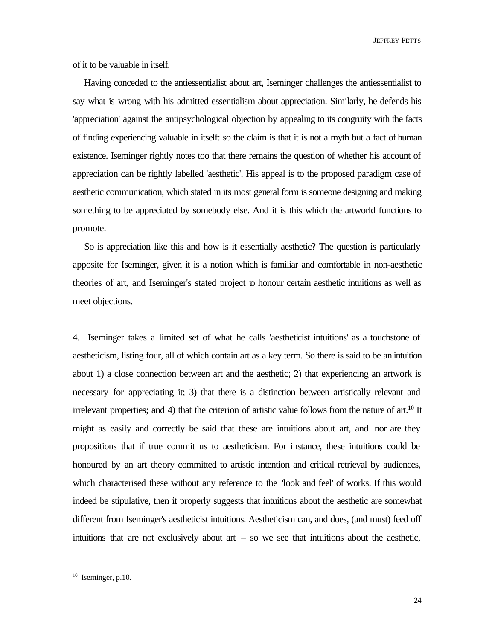JEFFREY PETTS

of it to be valuable in itself.

Having conceded to the antiessentialist about art, Iseminger challenges the antiessentialist to say what is wrong with his admitted essentialism about appreciation. Similarly, he defends his 'appreciation' against the antipsychological objection by appealing to its congruity with the facts of finding experiencing valuable in itself: so the claim is that it is not a myth but a fact of human existence. Iseminger rightly notes too that there remains the question of whether his account of appreciation can be rightly labelled 'aesthetic'. His appeal is to the proposed paradigm case of aesthetic communication, which stated in its most general form is someone designing and making something to be appreciated by somebody else. And it is this which the artworld functions to promote.

So is appreciation like this and how is it essentially aesthetic? The question is particularly apposite for Iseminger, given it is a notion which is familiar and comfortable in non-aesthetic theories of art, and Iseminger's stated project to honour certain aesthetic intuitions as well as meet objections.

4. Iseminger takes a limited set of what he calls 'aestheticist intuitions' as a touchstone of aestheticism, listing four, all of which contain art as a key term. So there is said to be an intuition about 1) a close connection between art and the aesthetic; 2) that experiencing an artwork is necessary for appreciating it; 3) that there is a distinction between artistically relevant and irrelevant properties; and 4) that the criterion of artistic value follows from the nature of art.<sup>10</sup> It might as easily and correctly be said that these are intuitions about art, and nor are they propositions that if true commit us to aestheticism. For instance, these intuitions could be honoured by an art theory committed to artistic intention and critical retrieval by audiences, which characterised these without any reference to the 'look and feel' of works. If this would indeed be stipulative, then it properly suggests that intuitions about the aesthetic are somewhat different from Iseminger's aestheticist intuitions. Aestheticism can, and does, (and must) feed off intuitions that are not exclusively about  $art - so$  we see that intuitions about the aesthetic,

 $10$  Iseminger, p.10.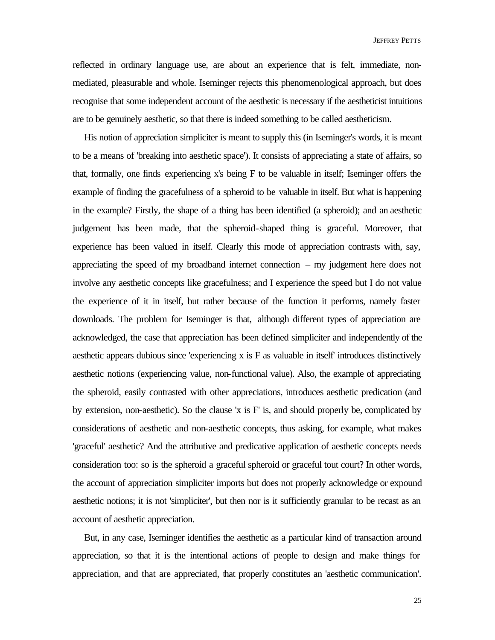reflected in ordinary language use, are about an experience that is felt, immediate, nonmediated, pleasurable and whole. Iseminger rejects this phenomenological approach, but does recognise that some independent account of the aesthetic is necessary if the aestheticist intuitions are to be genuinely aesthetic, so that there is indeed something to be called aestheticism.

His notion of appreciation simpliciter is meant to supply this (in Iseminger's words, it is meant to be a means of 'breaking into aesthetic space'). It consists of appreciating a state of affairs, so that, formally, one finds experiencing x's being F to be valuable in itself; Iseminger offers the example of finding the gracefulness of a spheroid to be valuable in itself. But what is happening in the example? Firstly, the shape of a thing has been identified (a spheroid); and an aesthetic judgement has been made, that the spheroid-shaped thing is graceful. Moreover, that experience has been valued in itself. Clearly this mode of appreciation contrasts with, say, appreciating the speed of my broadband internet connection – my judgement here does not involve any aesthetic concepts like gracefulness; and I experience the speed but I do not value the experience of it in itself, but rather because of the function it performs, namely faster downloads. The problem for Iseminger is that, although different types of appreciation are acknowledged, the case that appreciation has been defined simpliciter and independently of the aesthetic appears dubious since 'experiencing x is F as valuable in itself' introduces distinctively aesthetic notions (experiencing value, non-functional value). Also, the example of appreciating the spheroid, easily contrasted with other appreciations, introduces aesthetic predication (and by extension, non-aesthetic). So the clause 'x is F' is, and should properly be, complicated by considerations of aesthetic and non-aesthetic concepts, thus asking, for example, what makes 'graceful' aesthetic? And the attributive and predicative application of aesthetic concepts needs consideration too: so is the spheroid a graceful spheroid or graceful tout court? In other words, the account of appreciation simpliciter imports but does not properly acknowledge or expound aesthetic notions; it is not 'simpliciter', but then nor is it sufficiently granular to be recast as an account of aesthetic appreciation.

But, in any case, Iseminger identifies the aesthetic as a particular kind of transaction around appreciation, so that it is the intentional actions of people to design and make things for appreciation, and that are appreciated, that properly constitutes an 'aesthetic communication'.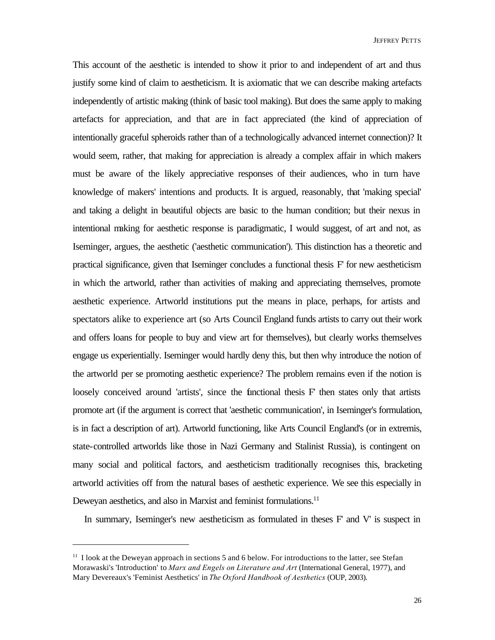This account of the aesthetic is intended to show it prior to and independent of art and thus justify some kind of claim to aestheticism. It is axiomatic that we can describe making artefacts independently of artistic making (think of basic tool making). But does the same apply to making artefacts for appreciation, and that are in fact appreciated (the kind of appreciation of intentionally graceful spheroids rather than of a technologically advanced internet connection)? It would seem, rather, that making for appreciation is already a complex affair in which makers must be aware of the likely appreciative responses of their audiences, who in turn have knowledge of makers' intentions and products. It is argued, reasonably, that 'making special' and taking a delight in beautiful objects are basic to the human condition; but their nexus in intentional making for aesthetic response is paradigmatic, I would suggest, of art and not, as Iseminger, argues, the aesthetic ('aesthetic communication'). This distinction has a theoretic and practical significance, given that Iseminger concludes a functional thesis F' for new aestheticism in which the artworld, rather than activities of making and appreciating themselves, promote aesthetic experience. Artworld institutions put the means in place, perhaps, for artists and spectators alike to experience art (so Arts Council England funds artists to carry out their work and offers loans for people to buy and view art for themselves), but clearly works themselves engage us experientially. Iseminger would hardly deny this, but then why introduce the notion of the artworld per se promoting aesthetic experience? The problem remains even if the notion is loosely conceived around 'artists', since the functional thesis F' then states only that artists promote art (if the argument is correct that 'aesthetic communication', in Iseminger's formulation, is in fact a description of art). Artworld functioning, like Arts Council England's (or in extremis, state-controlled artworlds like those in Nazi Germany and Stalinist Russia), is contingent on many social and political factors, and aestheticism traditionally recognises this, bracketing artworld activities off from the natural bases of aesthetic experience. We see this especially in Deweyan aesthetics, and also in Marxist and feminist formulations.<sup>11</sup>

In summary, Iseminger's new aestheticism as formulated in theses F' and V' is suspect in

 $11$  I look at the Deweyan approach in sections 5 and 6 below. For introductions to the latter, see Stefan Morawaski's 'Introduction' to *Marx and Engels on Literature and Art* (International General, 1977), and Mary Devereaux's 'Feminist Aesthetics' in *The Oxford Handbook of Aesthetics* (OUP, 2003).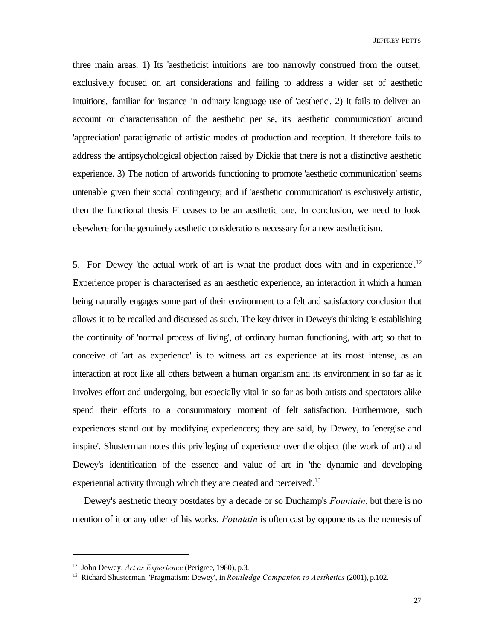JEFFREY PETTS

three main areas. 1) Its 'aestheticist intuitions' are too narrowly construed from the outset, exclusively focused on art considerations and failing to address a wider set of aesthetic intuitions, familiar for instance in ordinary language use of 'aesthetic'. 2) It fails to deliver an account or characterisation of the aesthetic per se, its 'aesthetic communication' around 'appreciation' paradigmatic of artistic modes of production and reception. It therefore fails to address the antipsychological objection raised by Dickie that there is not a distinctive aesthetic experience. 3) The notion of artworlds functioning to promote 'aesthetic communication' seems untenable given their social contingency; and if 'aesthetic communication' is exclusively artistic, then the functional thesis F' ceases to be an aesthetic one. In conclusion, we need to look elsewhere for the genuinely aesthetic considerations necessary for a new aestheticism.

5. For Dewey 'the actual work of art is what the product does with and in experience'.<sup>12</sup> Experience proper is characterised as an aesthetic experience, an interaction in which a human being naturally engages some part of their environment to a felt and satisfactory conclusion that allows it to be recalled and discussed as such. The key driver in Dewey's thinking is establishing the continuity of 'normal process of living', of ordinary human functioning, with art; so that to conceive of 'art as experience' is to witness art as experience at its most intense, as an interaction at root like all others between a human organism and its environment in so far as it involves effort and undergoing, but especially vital in so far as both artists and spectators alike spend their efforts to a consummatory moment of felt satisfaction. Furthermore, such experiences stand out by modifying experiencers; they are said, by Dewey, to 'energise and inspire'. Shusterman notes this privileging of experience over the object (the work of art) and Dewey's identification of the essence and value of art in 'the dynamic and developing experiential activity through which they are created and perceived'.<sup>13</sup>

Dewey's aesthetic theory postdates by a decade or so Duchamp's *Fountain*, but there is no mention of it or any other of his works. *Fountain* is often cast by opponents as the nemesis of

<sup>12</sup> John Dewey, *Art as Experience* (Perigree, 1980), p.3.

<sup>13</sup> Richard Shusterman, 'Pragmatism: Dewey', in *Routledge Companion to Aesthetics* (2001), p.102.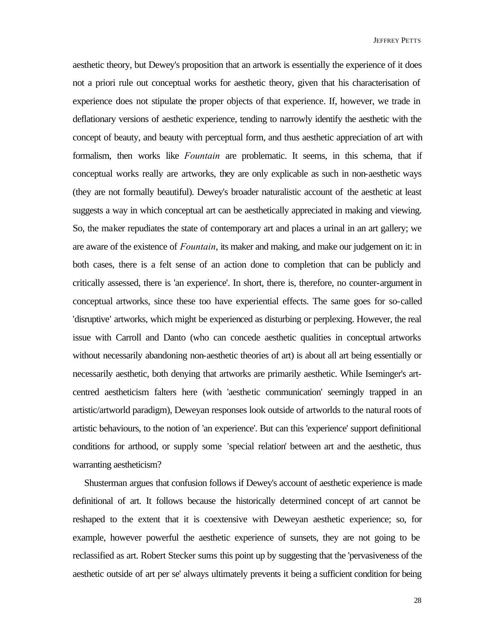aesthetic theory, but Dewey's proposition that an artwork is essentially the experience of it does not a priori rule out conceptual works for aesthetic theory, given that his characterisation of experience does not stipulate the proper objects of that experience. If, however, we trade in deflationary versions of aesthetic experience, tending to narrowly identify the aesthetic with the concept of beauty, and beauty with perceptual form, and thus aesthetic appreciation of art with formalism, then works like *Fountain* are problematic. It seems, in this schema, that if conceptual works really are artworks, they are only explicable as such in non-aesthetic ways (they are not formally beautiful). Dewey's broader naturalistic account of the aesthetic at least suggests a way in which conceptual art can be aesthetically appreciated in making and viewing. So, the maker repudiates the state of contemporary art and places a urinal in an art gallery; we are aware of the existence of *Fountain*, its maker and making, and make our judgement on it: in both cases, there is a felt sense of an action done to completion that can be publicly and critically assessed, there is 'an experience'. In short, there is, therefore, no counter-argument in conceptual artworks, since these too have experiential effects. The same goes for so-called 'disruptive' artworks, which might be experienced as disturbing or perplexing. However, the real issue with Carroll and Danto (who can concede aesthetic qualities in conceptual artworks without necessarily abandoning non-aesthetic theories of art) is about all art being essentially or necessarily aesthetic, both denying that artworks are primarily aesthetic. While Iseminger's artcentred aestheticism falters here (with 'aesthetic communication' seemingly trapped in an artistic/artworld paradigm), Deweyan responses look outside of artworlds to the natural roots of artistic behaviours, to the notion of 'an experience'. But can this 'experience' support definitional conditions for arthood, or supply some 'special relation' between art and the aesthetic, thus warranting aestheticism?

Shusterman argues that confusion follows if Dewey's account of aesthetic experience is made definitional of art. It follows because the historically determined concept of art cannot be reshaped to the extent that it is coextensive with Deweyan aesthetic experience; so, for example, however powerful the aesthetic experience of sunsets, they are not going to be reclassified as art. Robert Stecker sums this point up by suggesting that the 'pervasiveness of the aesthetic outside of art per se' always ultimately prevents it being a sufficient condition for being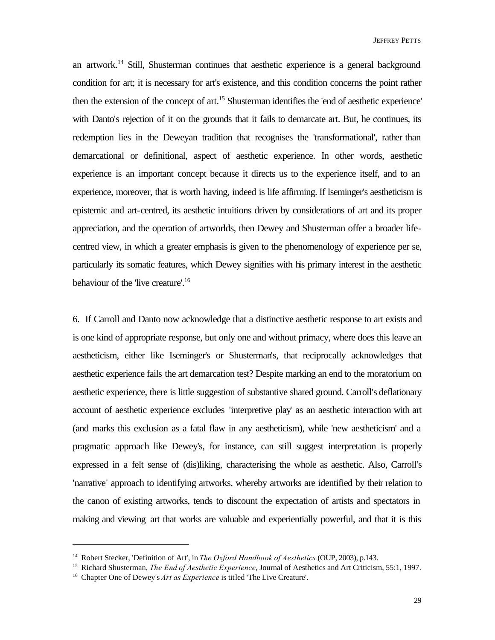an artwork.<sup>14</sup> Still, Shusterman continues that aesthetic experience is a general background condition for art; it is necessary for art's existence, and this condition concerns the point rather then the extension of the concept of art.<sup>15</sup> Shusterman identifies the 'end of aesthetic experience' with Danto's rejection of it on the grounds that it fails to demarcate art. But, he continues, its redemption lies in the Deweyan tradition that recognises the 'transformational', rather than demarcational or definitional, aspect of aesthetic experience. In other words, aesthetic experience is an important concept because it directs us to the experience itself, and to an experience, moreover, that is worth having, indeed is life affirming. If Iseminger's aestheticism is epistemic and art-centred, its aesthetic intuitions driven by considerations of art and its proper appreciation, and the operation of artworlds, then Dewey and Shusterman offer a broader lifecentred view, in which a greater emphasis is given to the phenomenology of experience per se, particularly its somatic features, which Dewey signifies with his primary interest in the aesthetic behaviour of the 'live creature'.<sup>16</sup>

6. If Carroll and Danto now acknowledge that a distinctive aesthetic response to art exists and is one kind of appropriate response, but only one and without primacy, where does this leave an aestheticism, either like Iseminger's or Shusterman's, that reciprocally acknowledges that aesthetic experience fails the art demarcation test? Despite marking an end to the moratorium on aesthetic experience, there is little suggestion of substantive shared ground. Carroll's deflationary account of aesthetic experience excludes 'interpretive play' as an aesthetic interaction with art (and marks this exclusion as a fatal flaw in any aestheticism), while 'new aestheticism' and a pragmatic approach like Dewey's, for instance, can still suggest interpretation is properly expressed in a felt sense of (dis)liking, characterising the whole as aesthetic. Also, Carroll's 'narrative' approach to identifying artworks, whereby artworks are identified by their relation to the canon of existing artworks, tends to discount the expectation of artists and spectators in making and viewing art that works are valuable and experientially powerful, and that it is this

<sup>14</sup> Robert Stecker, 'Definition of Art', in *The Oxford Handbook of Aesthetics* (OUP, 2003), p.143.

<sup>15</sup> Richard Shusterman, *The End of Aesthetic Experience*, Journal of Aesthetics and Art Criticism, 55:1, 1997.

<sup>16</sup> Chapter One of Dewey's *Art as Experience* is titled 'The Live Creature'.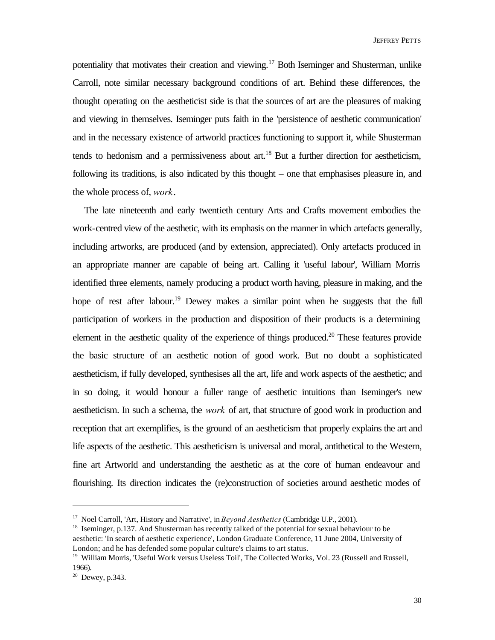potentiality that motivates their creation and viewing.<sup>17</sup> Both Iseminger and Shusterman, unlike Carroll, note similar necessary background conditions of art. Behind these differences, the thought operating on the aestheticist side is that the sources of art are the pleasures of making and viewing in themselves. Iseminger puts faith in the 'persistence of aesthetic communication' and in the necessary existence of artworld practices functioning to support it, while Shusterman tends to hedonism and a permissiveness about art.<sup>18</sup> But a further direction for aestheticism, following its traditions, is also indicated by this thought – one that emphasises pleasure in, and the whole process of, *work*.

The late nineteenth and early twentieth century Arts and Crafts movement embodies the work-centred view of the aesthetic, with its emphasis on the manner in which artefacts generally, including artworks, are produced (and by extension, appreciated). Only artefacts produced in an appropriate manner are capable of being art. Calling it 'useful labour', William Morris identified three elements, namely producing a product worth having, pleasure in making, and the hope of rest after labour.<sup>19</sup> Dewey makes a similar point when he suggests that the full participation of workers in the production and disposition of their products is a determining element in the aesthetic quality of the experience of things produced.<sup>20</sup> These features provide the basic structure of an aesthetic notion of good work. But no doubt a sophisticated aestheticism, if fully developed, synthesises all the art, life and work aspects of the aesthetic; and in so doing, it would honour a fuller range of aesthetic intuitions than Iseminger's new aestheticism. In such a schema, the *work* of art, that structure of good work in production and reception that art exemplifies, is the ground of an aestheticism that properly explains the art and life aspects of the aesthetic. This aestheticism is universal and moral, antithetical to the Western, fine art Artworld and understanding the aesthetic as at the core of human endeavour and flourishing. Its direction indicates the (re)construction of societies around aesthetic modes of

<sup>17</sup> Noel Carroll, 'Art, History and Narrative', in *Beyond Aesthetics* (Cambridge U.P., 2001).

<sup>&</sup>lt;sup>18</sup> Iseminger, p.137. And Shusterman has recently talked of the potential for sexual behaviour to be aesthetic: 'In search of aesthetic experience', London Graduate Conference, 11 June 2004, University of London; and he has defended some popular culture's claims to art status.

<sup>&</sup>lt;sup>19</sup> William Morris, 'Useful Work versus Useless Toil', The Collected Works, Vol. 23 (Russell and Russell, 1966).

 $20$  Dewey, p.343.